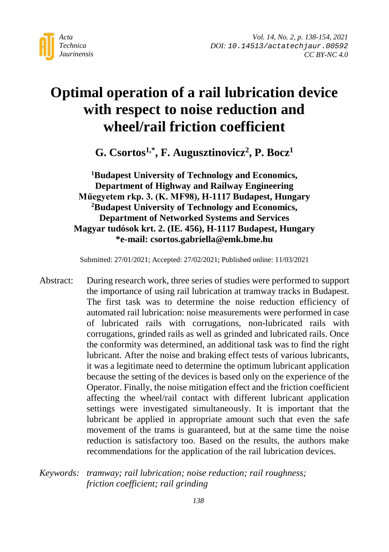

# **Optimal operation of a rail lubrication device with respect to noise reduction and wheel/rail friction coefficient**

**G. Csortos1,\*, F. Augusztinovicz2, P. Bocz1**

**1 Budapest University of Technology and Economics, Department of Highway and Railway Engineering Műegyetem rkp. 3. (K. MF98), H-1117 Budapest, Hungary 2 Budapest University of Technology and Economics, Department of Networked Systems and Services Magyar tudósok krt. 2. (IE. 456), H-1117 Budapest, Hungary \*e-mail: csortos.gabriella@emk.bme.hu**

Submitted: 27/01/2021; Accepted: 27/02/2021; Published online: 11/03/2021

- Abstract: During research work, three series of studies were performed to support the importance of using rail lubrication at tramway tracks in Budapest. The first task was to determine the noise reduction efficiency of automated rail lubrication: noise measurements were performed in case of lubricated rails with corrugations, non-lubricated rails with corrugations, grinded rails as well as grinded and lubricated rails. Once the conformity was determined, an additional task was to find the right lubricant. After the noise and braking effect tests of various lubricants, it was a legitimate need to determine the optimum lubricant application because the setting of the devices is based only on the experience of the Operator. Finally, the noise mitigation effect and the friction coefficient affecting the wheel/rail contact with different lubricant application settings were investigated simultaneously. It is important that the lubricant be applied in appropriate amount such that even the safe movement of the trams is guaranteed, but at the same time the noise reduction is satisfactory too. Based on the results, the authors make recommendations for the application of the rail lubrication devices.
- *Keywords: tramway; rail lubrication; noise reduction; rail roughness; friction coefficient; rail grinding*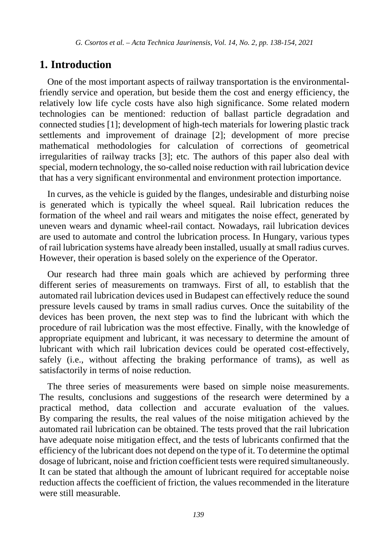#### **1. Introduction**

One of the most important aspects of railway transportation is the environmentalfriendly service and operation, but beside them the cost and energy efficiency, the relatively low life cycle costs have also high significance. Some related modern technologies can be mentioned: reduction of ballast particle degradation and connected studies [1]; development of high-tech materials for lowering plastic track settlements and improvement of drainage [2]; development of more precise mathematical methodologies for calculation of corrections of geometrical irregularities of railway tracks [3]; etc. The authors of this paper also deal with special, modern technology, the so-called noise reduction with rail lubrication device that has a very significant environmental and environment protection importance.

In curves, as the vehicle is guided by the flanges, undesirable and disturbing noise is generated which is typically the wheel squeal. Rail lubrication reduces the formation of the wheel and rail wears and mitigates the noise effect, generated by uneven wears and dynamic wheel-rail contact. Nowadays, rail lubrication devices are used to automate and control the lubrication process. In Hungary, various types of rail lubrication systems have already been installed, usually at small radius curves. However, their operation is based solely on the experience of the Operator.

Our research had three main goals which are achieved by performing three different series of measurements on tramways. First of all, to establish that the automated rail lubrication devices used in Budapest can effectively reduce the sound pressure levels caused by trams in small radius curves. Once the suitability of the devices has been proven, the next step was to find the lubricant with which the procedure of rail lubrication was the most effective. Finally, with the knowledge of appropriate equipment and lubricant, it was necessary to determine the amount of lubricant with which rail lubrication devices could be operated cost-effectively, safely (i.e., without affecting the braking performance of trams), as well as satisfactorily in terms of noise reduction.

The three series of measurements were based on simple noise measurements. The results, conclusions and suggestions of the research were determined by a practical method, data collection and accurate evaluation of the values. By comparing the results, the real values of the noise mitigation achieved by the automated rail lubrication can be obtained. The tests proved that the rail lubrication have adequate noise mitigation effect, and the tests of lubricants confirmed that the efficiency of the lubricant does not depend on the type of it. To determine the optimal dosage of lubricant, noise and friction coefficient tests were required simultaneously. It can be stated that although the amount of lubricant required for acceptable noise reduction affects the coefficient of friction, the values recommended in the literature were still measurable.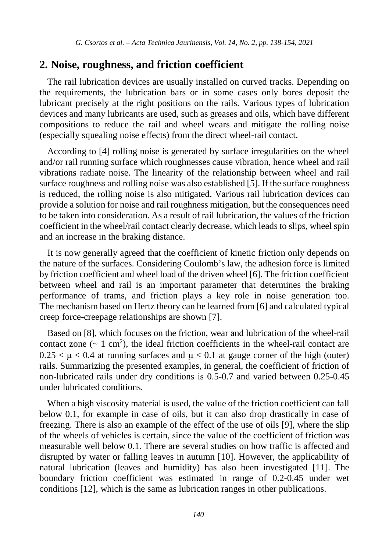#### **2. Noise, roughness, and friction coefficient**

The rail lubrication devices are usually installed on curved tracks. Depending on the requirements, the lubrication bars or in some cases only bores deposit the lubricant precisely at the right positions on the rails. Various types of lubrication devices and many lubricants are used, such as greases and oils, which have different compositions to reduce the rail and wheel wears and mitigate the rolling noise (especially squealing noise effects) from the direct wheel-rail contact.

According to [4] rolling noise is generated by surface irregularities on the wheel and/or rail running surface which roughnesses cause vibration, hence wheel and rail vibrations radiate noise. The linearity of the relationship between wheel and rail surface roughness and rolling noise was also established [5]. If the surface roughness is reduced, the rolling noise is also mitigated. Various rail lubrication devices can provide a solution for noise and rail roughness mitigation, but the consequences need to be taken into consideration. As a result of rail lubrication, the values of the friction coefficient in the wheel/rail contact clearly decrease, which leads to slips, wheel spin and an increase in the braking distance.

It is now generally agreed that the coefficient of kinetic friction only depends on the nature of the surfaces. Considering Coulomb's law, the adhesion force is limited by friction coefficient and wheel load of the driven wheel [6]. The friction coefficient between wheel and rail is an important parameter that determines the braking performance of trams, and friction plays a key role in noise generation too. The mechanism based on Hertz theory can be learned from [6] and calculated typical creep force-creepage relationships are shown [7].

Based on [8], which focuses on the friction, wear and lubrication of the wheel-rail contact zone  $({\sim 1 \text{ cm}}^2)$ , the ideal friction coefficients in the wheel-rail contact are  $0.25 < \mu < 0.4$  at running surfaces and  $\mu < 0.1$  at gauge corner of the high (outer) rails. Summarizing the presented examples, in general, the coefficient of friction of non-lubricated rails under dry conditions is 0.5-0.7 and varied between 0.25-0.45 under lubricated conditions.

When a high viscosity material is used, the value of the friction coefficient can fall below 0.1, for example in case of oils, but it can also drop drastically in case of freezing. There is also an example of the effect of the use of oils [9], where the slip of the wheels of vehicles is certain, since the value of the coefficient of friction was measurable well below 0.1. There are several studies on how traffic is affected and disrupted by water or falling leaves in autumn [10]. However, the applicability of natural lubrication (leaves and humidity) has also been investigated [11]. The boundary friction coefficient was estimated in range of 0.2-0.45 under wet conditions [12], which is the same as lubrication ranges in other publications.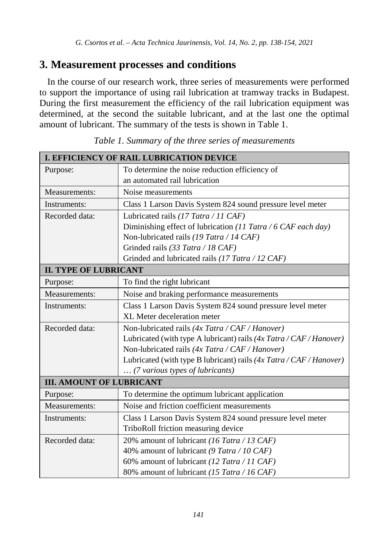### **3. Measurement processes and conditions**

In the course of our research work, three series of measurements were performed to support the importance of using rail lubrication at tramway tracks in Budapest. During the first measurement the efficiency of the rail lubrication equipment was determined, at the second the suitable lubricant, and at the last one the optimal amount of lubricant. The summary of the tests is shown in Table 1.

| I. EFFICIENCY OF RAIL LUBRICATION DEVICE |                                                                         |  |  |  |  |  |
|------------------------------------------|-------------------------------------------------------------------------|--|--|--|--|--|
| Purpose:                                 | To determine the noise reduction efficiency of                          |  |  |  |  |  |
|                                          | an automated rail lubrication                                           |  |  |  |  |  |
| Measurements:                            | Noise measurements                                                      |  |  |  |  |  |
| Instruments:                             | Class 1 Larson Davis System 824 sound pressure level meter              |  |  |  |  |  |
| Recorded data:                           | Lubricated rails (17 Tatra / 11 CAF)                                    |  |  |  |  |  |
|                                          | Diminishing effect of lubrication (11 Tatra / 6 CAF each day)           |  |  |  |  |  |
|                                          | Non-lubricated rails (19 Tatra / 14 CAF)                                |  |  |  |  |  |
|                                          | Grinded rails (33 Tatra / 18 CAF)                                       |  |  |  |  |  |
|                                          | Grinded and lubricated rails (17 Tatra / 12 CAF)                        |  |  |  |  |  |
| <b>II. TYPE OF LUBRICANT</b>             |                                                                         |  |  |  |  |  |
| Purpose:                                 | To find the right lubricant                                             |  |  |  |  |  |
| Measurements:                            | Noise and braking performance measurements                              |  |  |  |  |  |
| Instruments:                             | Class 1 Larson Davis System 824 sound pressure level meter              |  |  |  |  |  |
|                                          | XL Meter deceleration meter                                             |  |  |  |  |  |
| Recorded data:                           | Non-lubricated rails (4x Tatra / CAF / Hanover)                         |  |  |  |  |  |
|                                          | Lubricated (with type A lubricant) rails (4x Tatra / CAF / Hanover)     |  |  |  |  |  |
|                                          | Non-lubricated rails $(4x \text{ Tatra} / \text{CAF} / \text{Hanover})$ |  |  |  |  |  |
|                                          | Lubricated (with type B lubricant) rails (4x Tatra / CAF / Hanover)     |  |  |  |  |  |
|                                          | (7 various types of lubricants)                                         |  |  |  |  |  |
| <b>III. AMOUNT OF LUBRICANT</b>          |                                                                         |  |  |  |  |  |
| Purpose:                                 | To determine the optimum lubricant application                          |  |  |  |  |  |
| Measurements:                            | Noise and friction coefficient measurements                             |  |  |  |  |  |
| Instruments:                             | Class 1 Larson Davis System 824 sound pressure level meter              |  |  |  |  |  |
|                                          | TriboRoll friction measuring device                                     |  |  |  |  |  |
| Recorded data:                           | 20% amount of lubricant (16 Tatra / 13 CAF)                             |  |  |  |  |  |
|                                          | 40% amount of lubricant (9 Tatra / 10 CAF)                              |  |  |  |  |  |
|                                          | 60% amount of lubricant (12 Tatra / 11 CAF)                             |  |  |  |  |  |
|                                          | 80% amount of lubricant (15 Tatra / 16 CAF)                             |  |  |  |  |  |

*Table 1. Summary of the three series of measurements*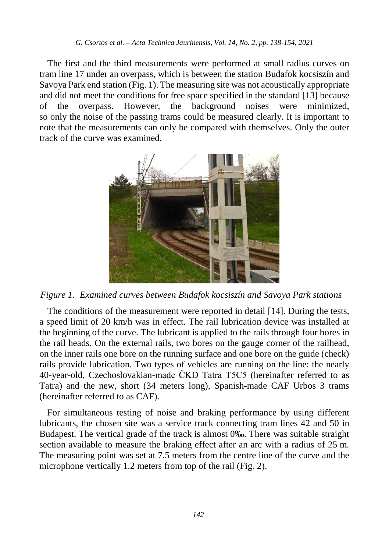The first and the third measurements were performed at small radius curves on tram line 17 under an overpass, which is between the station Budafok kocsiszín and Savoya Park end station (Fig. 1). The measuring site was not acoustically appropriate and did not meet the conditions for free space specified in the standard [13] because of the overpass. However, the background noises were minimized, so only the noise of the passing trams could be measured clearly. It is important to note that the measurements can only be compared with themselves. Only the outer track of the curve was examined.



*Figure 1. Examined curves between Budafok kocsiszín and Savoya Park stations*

The conditions of the measurement were reported in detail [14]. During the tests, a speed limit of 20 km/h was in effect. The rail lubrication device was installed at the beginning of the curve. The lubricant is applied to the rails through four bores in the rail heads. On the external rails, two bores on the gauge corner of the railhead, on the inner rails one bore on the running surface and one bore on the guide (check) rails provide lubrication. Two types of vehicles are running on the line: the nearly 40-year-old, Czechoslovakian-made ČKD Tatra T5C5 (hereinafter referred to as Tatra) and the new, short (34 meters long), Spanish-made CAF Urbos 3 trams (hereinafter referred to as CAF).

For simultaneous testing of noise and braking performance by using different lubricants, the chosen site was a service track connecting tram lines 42 and 50 in Budapest. The vertical grade of the track is almost 0‰. There was suitable straight section available to measure the braking effect after an arc with a radius of 25 m. The measuring point was set at 7.5 meters from the centre line of the curve and the microphone vertically 1.2 meters from top of the rail (Fig. 2).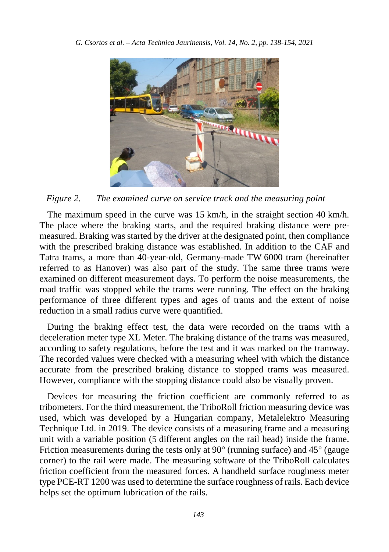

*Figure 2. The examined curve on service track and the measuring point*

The maximum speed in the curve was 15 km/h, in the straight section 40 km/h. The place where the braking starts, and the required braking distance were premeasured. Braking was started by the driver at the designated point, then compliance with the prescribed braking distance was established. In addition to the CAF and Tatra trams, a more than 40-year-old, Germany-made TW 6000 tram (hereinafter referred to as Hanover) was also part of the study. The same three trams were examined on different measurement days. To perform the noise measurements, the road traffic was stopped while the trams were running. The effect on the braking performance of three different types and ages of trams and the extent of noise reduction in a small radius curve were quantified.

During the braking effect test, the data were recorded on the trams with a deceleration meter type XL Meter. The braking distance of the trams was measured, according to safety regulations, before the test and it was marked on the tramway. The recorded values were checked with a measuring wheel with which the distance accurate from the prescribed braking distance to stopped trams was measured. However, compliance with the stopping distance could also be visually proven.

Devices for measuring the friction coefficient are commonly referred to as tribometers. For the third measurement, the TriboRoll friction measuring device was used, which was developed by a Hungarian company, Metalelektro Measuring Technique Ltd. in 2019. The device consists of a measuring frame and a measuring unit with a variable position (5 different angles on the rail head) inside the frame. Friction measurements during the tests only at 90° (running surface) and 45° (gauge corner) to the rail were made. The measuring software of the TriboRoll calculates friction coefficient from the measured forces. A handheld surface roughness meter type PCE-RT 1200 was used to determine the surface roughness of rails. Each device helps set the optimum lubrication of the rails.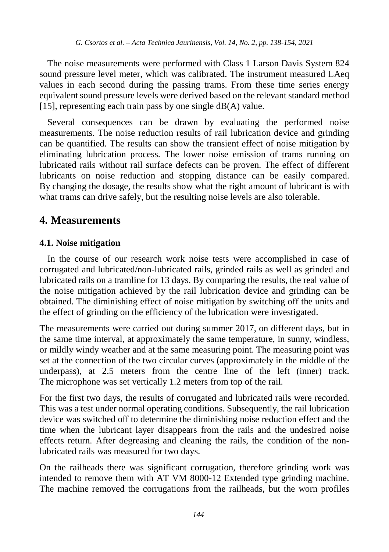The noise measurements were performed with Class 1 Larson Davis System 824 sound pressure level meter, which was calibrated. The instrument measured LAeq values in each second during the passing trams. From these time series energy equivalent sound pressure levels were derived based on the relevant standard method [15], representing each train pass by one single  $dB(A)$  value.

Several consequences can be drawn by evaluating the performed noise measurements. The noise reduction results of rail lubrication device and grinding can be quantified. The results can show the transient effect of noise mitigation by eliminating lubrication process. The lower noise emission of trams running on lubricated rails without rail surface defects can be proven. The effect of different lubricants on noise reduction and stopping distance can be easily compared. By changing the dosage, the results show what the right amount of lubricant is with what trams can drive safely, but the resulting noise levels are also tolerable.

### **4. Measurements**

#### **4.1. Noise mitigation**

In the course of our research work noise tests were accomplished in case of corrugated and lubricated/non-lubricated rails, grinded rails as well as grinded and lubricated rails on a tramline for 13 days. By comparing the results, the real value of the noise mitigation achieved by the rail lubrication device and grinding can be obtained. The diminishing effect of noise mitigation by switching off the units and the effect of grinding on the efficiency of the lubrication were investigated.

The measurements were carried out during summer 2017, on different days, but in the same time interval, at approximately the same temperature, in sunny, windless, or mildly windy weather and at the same measuring point. The measuring point was set at the connection of the two circular curves (approximately in the middle of the underpass), at 2.5 meters from the centre line of the left (inner) track. The microphone was set vertically 1.2 meters from top of the rail.

For the first two days, the results of corrugated and lubricated rails were recorded. This was a test under normal operating conditions. Subsequently, the rail lubrication device was switched off to determine the diminishing noise reduction effect and the time when the lubricant layer disappears from the rails and the undesired noise effects return. After degreasing and cleaning the rails, the condition of the nonlubricated rails was measured for two days.

On the railheads there was significant corrugation, therefore grinding work was intended to remove them with AT VM 8000-12 Extended type grinding machine. The machine removed the corrugations from the railheads, but the worn profiles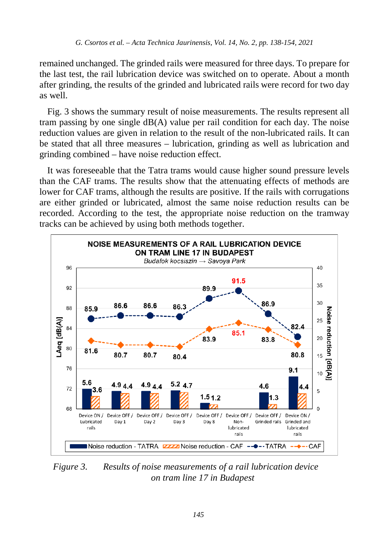remained unchanged. The grinded rails were measured for three days. To prepare for the last test, the rail lubrication device was switched on to operate. About a month after grinding, the results of the grinded and lubricated rails were record for two day as well.

Fig. 3 shows the summary result of noise measurements. The results represent all tram passing by one single dB(A) value per rail condition for each day. The noise reduction values are given in relation to the result of the non-lubricated rails. It can be stated that all three measures – lubrication, grinding as well as lubrication and grinding combined – have noise reduction effect.

It was foreseeable that the Tatra trams would cause higher sound pressure levels than the CAF trams. The results show that the attenuating effects of methods are lower for CAF trams, although the results are positive. If the rails with corrugations are either grinded or lubricated, almost the same noise reduction results can be recorded. According to the test, the appropriate noise reduction on the tramway tracks can be achieved by using both methods together.



*Figure 3. Results of noise measurements of a rail lubrication device on tram line 17 in Budapest*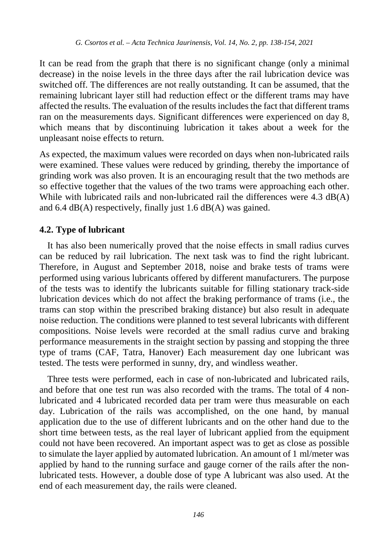It can be read from the graph that there is no significant change (only a minimal decrease) in the noise levels in the three days after the rail lubrication device was switched off. The differences are not really outstanding. It can be assumed, that the remaining lubricant layer still had reduction effect or the different trams may have affected the results. The evaluation of the results includes the fact that different trams ran on the measurements days. Significant differences were experienced on day 8, which means that by discontinuing lubrication it takes about a week for the unpleasant noise effects to return.

As expected, the maximum values were recorded on days when non-lubricated rails were examined. These values were reduced by grinding, thereby the importance of grinding work was also proven. It is an encouraging result that the two methods are so effective together that the values of the two trams were approaching each other. While with lubricated rails and non-lubricated rail the differences were 4.3 dB(A) and 6.4 dB(A) respectively, finally just 1.6 dB(A) was gained.

#### **4.2. Type of lubricant**

It has also been numerically proved that the noise effects in small radius curves can be reduced by rail lubrication. The next task was to find the right lubricant. Therefore, in August and September 2018, noise and brake tests of trams were performed using various lubricants offered by different manufacturers. The purpose of the tests was to identify the lubricants suitable for filling stationary track-side lubrication devices which do not affect the braking performance of trams (i.e., the trams can stop within the prescribed braking distance) but also result in adequate noise reduction. The conditions were planned to test several lubricants with different compositions. Noise levels were recorded at the small radius curve and braking performance measurements in the straight section by passing and stopping the three type of trams (CAF, Tatra, Hanover) Each measurement day one lubricant was tested. The tests were performed in sunny, dry, and windless weather.

Three tests were performed, each in case of non-lubricated and lubricated rails, and before that one test run was also recorded with the trams. The total of 4 nonlubricated and 4 lubricated recorded data per tram were thus measurable on each day. Lubrication of the rails was accomplished, on the one hand, by manual application due to the use of different lubricants and on the other hand due to the short time between tests, as the real layer of lubricant applied from the equipment could not have been recovered. An important aspect was to get as close as possible to simulate the layer applied by automated lubrication. An amount of 1 ml/meter was applied by hand to the running surface and gauge corner of the rails after the nonlubricated tests. However, a double dose of type A lubricant was also used. At the end of each measurement day, the rails were cleaned.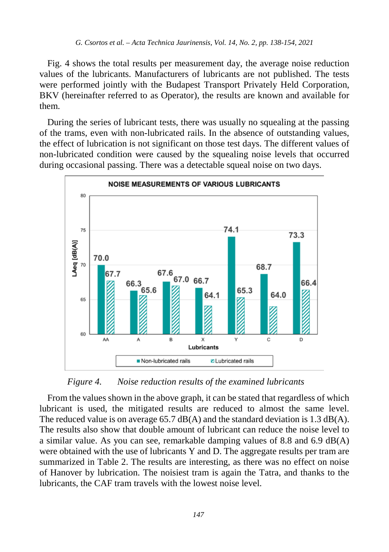Fig. 4 shows the total results per measurement day, the average noise reduction values of the lubricants. Manufacturers of lubricants are not published. The tests were performed jointly with the Budapest Transport Privately Held Corporation, BKV (hereinafter referred to as Operator), the results are known and available for them.

During the series of lubricant tests, there was usually no squealing at the passing of the trams, even with non-lubricated rails. In the absence of outstanding values, the effect of lubrication is not significant on those test days. The different values of non-lubricated condition were caused by the squealing noise levels that occurred during occasional passing. There was a detectable squeal noise on two days.



*Figure 4. Noise reduction results of the examined lubricants*

From the values shown in the above graph, it can be stated that regardless of which lubricant is used, the mitigated results are reduced to almost the same level. The reduced value is on average 65.7 dB(A) and the standard deviation is 1.3 dB(A). The results also show that double amount of lubricant can reduce the noise level to a similar value. As you can see, remarkable damping values of 8.8 and 6.9  $dB(A)$ were obtained with the use of lubricants Y and D. The aggregate results per tram are summarized in Table 2. The results are interesting, as there was no effect on noise of Hanover by lubrication. The noisiest tram is again the Tatra, and thanks to the lubricants, the CAF tram travels with the lowest noise level.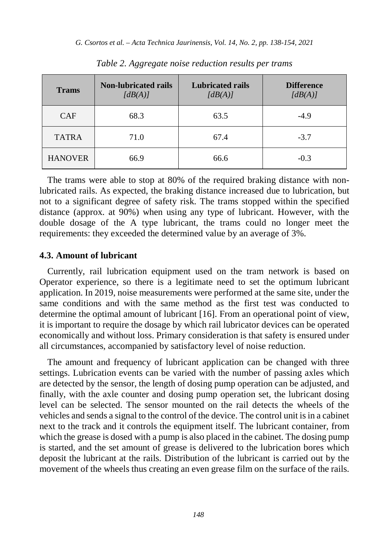| <b>Trams</b>   | <b>Non-lubricated rails</b><br>[dB(A)] | <b>Lubricated rails</b><br>[dB(A)] | <b>Difference</b><br>[dB(A)] |  |
|----------------|----------------------------------------|------------------------------------|------------------------------|--|
| <b>CAF</b>     | 68.3                                   | 63.5                               | $-4.9$                       |  |
| <b>TATRA</b>   | 71.0                                   | 67.4                               | $-3.7$                       |  |
| <b>HANOVER</b> | 66.9                                   | 66.6                               | $-0.3$                       |  |

*Table 2. Aggregate noise reduction results per trams*

The trams were able to stop at 80% of the required braking distance with nonlubricated rails. As expected, the braking distance increased due to lubrication, but not to a significant degree of safety risk. The trams stopped within the specified distance (approx. at 90%) when using any type of lubricant. However, with the double dosage of the A type lubricant, the trams could no longer meet the requirements: they exceeded the determined value by an average of 3%.

#### **4.3. Amount of lubricant**

Currently, rail lubrication equipment used on the tram network is based on Operator experience, so there is a legitimate need to set the optimum lubricant application. In 2019, noise measurements were performed at the same site, under the same conditions and with the same method as the first test was conducted to determine the optimal amount of lubricant [16]. From an operational point of view, it is important to require the dosage by which rail lubricator devices can be operated economically and without loss. Primary consideration is that safety is ensured under all circumstances, accompanied by satisfactory level of noise reduction.

The amount and frequency of lubricant application can be changed with three settings. Lubrication events can be varied with the number of passing axles which are detected by the sensor, the length of dosing pump operation can be adjusted, and finally, with the axle counter and dosing pump operation set, the lubricant dosing level can be selected. The sensor mounted on the rail detects the wheels of the vehicles and sends a signal to the control of the device. The control unit is in a cabinet next to the track and it controls the equipment itself. The lubricant container, from which the grease is dosed with a pump is also placed in the cabinet. The dosing pump is started, and the set amount of grease is delivered to the lubrication bores which deposit the lubricant at the rails. Distribution of the lubricant is carried out by the movement of the wheels thus creating an even grease film on the surface of the rails.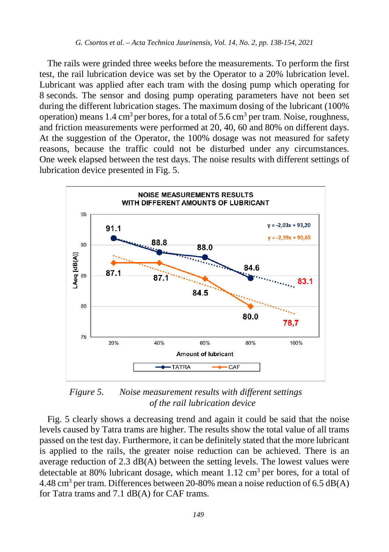The rails were grinded three weeks before the measurements. To perform the first test, the rail lubrication device was set by the Operator to a 20% lubrication level. Lubricant was applied after each tram with the dosing pump which operating for 8 seconds. The sensor and dosing pump operating parameters have not been set during the different lubrication stages. The maximum dosing of the lubricant (100% operation) means  $1.4 \text{ cm}^3$  per bores, for a total of  $5.6 \text{ cm}^3$  per tram. Noise, roughness, and friction measurements were performed at 20, 40, 60 and 80% on different days. At the suggestion of the Operator, the 100% dosage was not measured for safety reasons, because the traffic could not be disturbed under any circumstances. One week elapsed between the test days. The noise results with different settings of lubrication device presented in Fig. 5.



*Figure 5. Noise measurement results with different settings of the rail lubrication device*

Fig. 5 clearly shows a decreasing trend and again it could be said that the noise levels caused by Tatra trams are higher. The results show the total value of all trams passed on the test day. Furthermore, it can be definitely stated that the more lubricant is applied to the rails, the greater noise reduction can be achieved. There is an average reduction of 2.3  $dB(A)$  between the setting levels. The lowest values were detectable at 80% lubricant dosage, which meant  $1.12 \text{ cm}^3$  per bores, for a total of 4.48 cm<sup>3</sup> per tram. Differences between 20-80% mean a noise reduction of 6.5 dB(A) for Tatra trams and 7.1 dB(A) for CAF trams.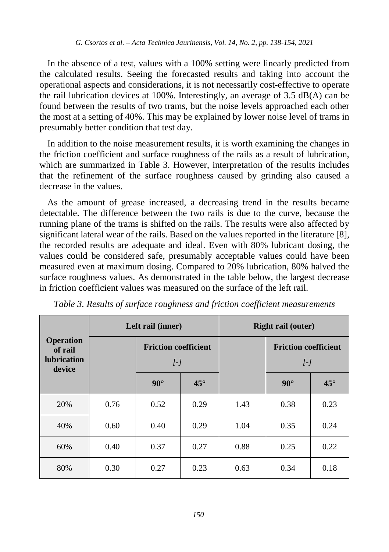In the absence of a test, values with a 100% setting were linearly predicted from the calculated results. Seeing the forecasted results and taking into account the operational aspects and considerations, it is not necessarily cost-effective to operate the rail lubrication devices at 100%. Interestingly, an average of 3.5 dB(A) can be found between the results of two trams, but the noise levels approached each other the most at a setting of 40%. This may be explained by lower noise level of trams in presumably better condition that test day.

In addition to the noise measurement results, it is worth examining the changes in the friction coefficient and surface roughness of the rails as a result of lubrication, which are summarized in Table 3. However, interpretation of the results includes that the refinement of the surface roughness caused by grinding also caused a decrease in the values.

As the amount of grease increased, a decreasing trend in the results became detectable. The difference between the two rails is due to the curve, because the running plane of the trams is shifted on the rails. The results were also affected by significant lateral wear of the rails. Based on the values reported in the literature [8], the recorded results are adequate and ideal. Even with 80% lubricant dosing, the values could be considered safe, presumably acceptable values could have been measured even at maximum dosing. Compared to 20% lubrication, 80% halved the surface roughness values. As demonstrated in the table below, the largest decrease in friction coefficient values was measured on the surface of the left rail.

| <b>Operation</b><br>of rail<br><b>lubrication</b><br>device | Left rail (inner) |                                                                |              | <b>Right rail (outer)</b> |                                                 |              |  |
|-------------------------------------------------------------|-------------------|----------------------------------------------------------------|--------------|---------------------------|-------------------------------------------------|--------------|--|
|                                                             |                   | <b>Friction coefficient</b><br>$\overline{I}$ - $\overline{I}$ |              |                           | <b>Friction coefficient</b><br>$\left[-\right]$ |              |  |
|                                                             |                   | $90^\circ$                                                     | $45^{\circ}$ |                           | $90^\circ$                                      | $45^{\circ}$ |  |
| 20%                                                         | 0.76              | 0.52                                                           | 0.29         | 1.43                      | 0.38                                            | 0.23         |  |
| 40%                                                         | 0.60              | 0.40                                                           | 0.29         | 1.04                      | 0.35                                            | 0.24         |  |
| 60%                                                         | 0.40              | 0.37                                                           | 0.27         | 0.88                      | 0.25                                            | 0.22         |  |
| 80%                                                         | 0.30              | 0.27                                                           | 0.23         | 0.63                      | 0.34                                            | 0.18         |  |

*Table 3. Results of surface roughness and friction coefficient measurements*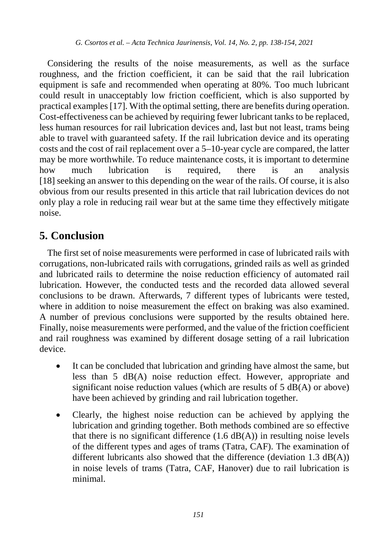Considering the results of the noise measurements, as well as the surface roughness, and the friction coefficient, it can be said that the rail lubrication equipment is safe and recommended when operating at 80%. Too much lubricant could result in unacceptably low friction coefficient, which is also supported by practical examples [17]. With the optimal setting, there are benefits during operation. Cost-effectiveness can be achieved by requiring fewer lubricant tanks to be replaced, less human resources for rail lubrication devices and, last but not least, trams being able to travel with guaranteed safety. If the rail lubrication device and its operating costs and the cost of rail replacement over a 5–10-year cycle are compared, the latter may be more worthwhile. To reduce maintenance costs, it is important to determine how much lubrication is required, there is an analysis [18] seeking an answer to this depending on the wear of the rails. Of course, it is also obvious from our results presented in this article that rail lubrication devices do not only play a role in reducing rail wear but at the same time they effectively mitigate noise.

# **5. Conclusion**

The first set of noise measurements were performed in case of lubricated rails with corrugations, non-lubricated rails with corrugations, grinded rails as well as grinded and lubricated rails to determine the noise reduction efficiency of automated rail lubrication. However, the conducted tests and the recorded data allowed several conclusions to be drawn. Afterwards, 7 different types of lubricants were tested, where in addition to noise measurement the effect on braking was also examined. A number of previous conclusions were supported by the results obtained here. Finally, noise measurements were performed, and the value of the friction coefficient and rail roughness was examined by different dosage setting of a rail lubrication device.

- It can be concluded that lubrication and grinding have almost the same, but less than 5 dB(A) noise reduction effect. However, appropriate and significant noise reduction values (which are results of  $5$  dB(A) or above) have been achieved by grinding and rail lubrication together.
- Clearly, the highest noise reduction can be achieved by applying the lubrication and grinding together. Both methods combined are so effective that there is no significant difference  $(1.6 \text{ dB}(A))$  in resulting noise levels of the different types and ages of trams (Tatra, CAF). The examination of different lubricants also showed that the difference (deviation  $1.3 \text{ dB}(A)$ ) in noise levels of trams (Tatra, CAF, Hanover) due to rail lubrication is minimal.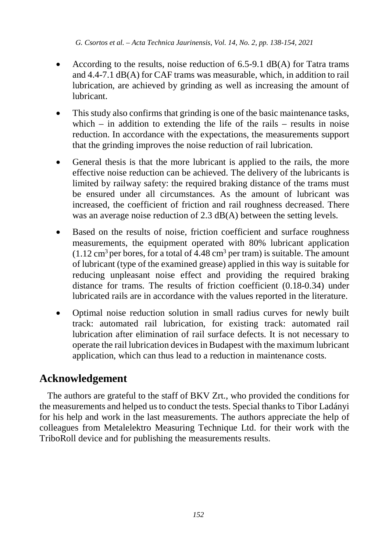- According to the results, noise reduction of  $6.5\n-9.1$  dB(A) for Tatra trams and 4.4-7.1 dB(A) for CAF trams was measurable, which, in addition to rail lubrication, are achieved by grinding as well as increasing the amount of lubricant.
- This study also confirms that grinding is one of the basic maintenance tasks, which – in addition to extending the life of the rails – results in noise reduction. In accordance with the expectations, the measurements support that the grinding improves the noise reduction of rail lubrication.
- General thesis is that the more lubricant is applied to the rails, the more effective noise reduction can be achieved. The delivery of the lubricants is limited by railway safety: the required braking distance of the trams must be ensured under all circumstances. As the amount of lubricant was increased, the coefficient of friction and rail roughness decreased. There was an average noise reduction of 2.3 dB(A) between the setting levels.
- Based on the results of noise, friction coefficient and surface roughness measurements, the equipment operated with 80% lubricant application  $(1.12 \text{ cm}^3 \text{ per bores}, \text{ for a total of } 4.48 \text{ cm}^3 \text{ per tram})$  is suitable. The amount of lubricant (type of the examined grease) applied in this way is suitable for reducing unpleasant noise effect and providing the required braking distance for trams. The results of friction coefficient (0.18-0.34) under lubricated rails are in accordance with the values reported in the literature.
- Optimal noise reduction solution in small radius curves for newly built track: automated rail lubrication, for existing track: automated rail lubrication after elimination of rail surface defects. It is not necessary to operate the rail lubrication devices in Budapest with the maximum lubricant application, which can thus lead to a reduction in maintenance costs.

## **Acknowledgement**

The authors are grateful to the staff of BKV Zrt., who provided the conditions for the measurements and helped usto conduct the tests. Special thanks to Tibor Ladányi for his help and work in the last measurements. The authors appreciate the help of colleagues from Metalelektro Measuring Technique Ltd. for their work with the TriboRoll device and for publishing the measurements results.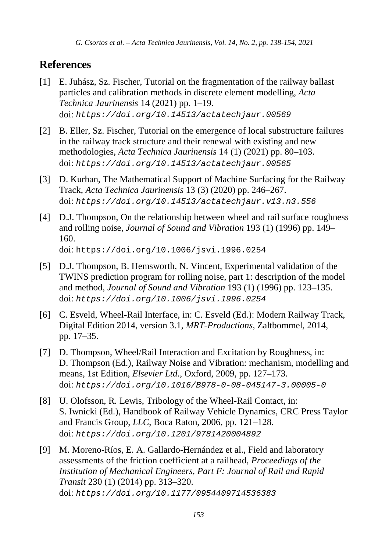*G. Csortos et al. – Acta Technica Jaurinensis, Vol. 14, No. 2, pp. 138-154, 2021*

## **References**

- [1] E. Juhász, Sz. Fischer, Tutorial on the fragmentation of the railway ballast particles and calibration methods in discrete element modelling, *Acta Technica Jaurinensis* 14 (2021) pp. 1–19. doi: *[https://doi.org/10.14513/actatechjaur.00569](http://dx.doi.org/10.14513/actatechjaur.v10.n2.446)*
- [2] B. Eller, Sz. Fischer, Tutorial on the emergence of local substructure failures in the railway track structure and their renewal with existing and new methodologies, *Acta Technica Jaurinensis* 14 (1) (2021) pp. 80–103. doi: *<https://doi.org/10.14513/actatechjaur.00565>*
- [3] D. Kurhan, The Mathematical Support of Machine Surfacing for the Railway Track, *Acta Technica Jaurinensis* 13 (3) (2020) pp. 246–267. doi: *<https://doi.org/10.14513/actatechjaur.v13.n3.556>*
- [4] D.J. Thompson, On the relationship between wheel and rail surface roughness and rolling noise, *Journal of Sound and Vibration* 193 (1) (1996) pp. 149– 160. doi: <https://doi.org/10.1006/jsvi.1996.0254>
- [5] D.J. Thompson, B. Hemsworth, N. Vincent, Experimental validation of the TWINS prediction program for rolling noise, part 1: description of the model and method, *Journal of Sound and Vibration* 193 (1) (1996) pp. 123–135. doi: *<https://doi.org/10.1006/jsvi.1996.0254>*
- [6] C. Esveld, Wheel-Rail Interface, in: C. Esveld (Ed.): Modern Railway Track, Digital Edition 2014, version 3.1, *MRT-Productions*, Zaltbommel, 2014, pp. 17–35.
- [7] D. Thompson, Wheel/Rail Interaction and Excitation by Roughness, in: D. Thompson (Ed.), Railway Noise and Vibration: mechanism, modelling and means, 1st Edition, *Elsevier Ltd.,* Oxford, 2009, pp. 127–173. doi: *<https://doi.org/10.1016/B978-0-08-045147-3.00005-0>*
- [8] U. Olofsson, R. Lewis, Tribology of the Wheel-Rail Contact, in: S. Iwnicki (Ed.), Handbook of Railway Vehicle Dynamics, CRC Press Taylor and Francis Group, *LLC*, Boca Raton, 2006, pp. 121–128. doi: *<https://doi.org/10.1201/9781420004892>*
- [9] M. Moreno-Ríos, E. A. Gallardo-Hernández et al., Field and laboratory assessments of the friction coefficient at a railhead, *Proceedings of the Institution of Mechanical Engineers, Part F: Journal of Rail and Rapid Transit* 230 (1) (2014) pp. 313–320. doi: *[https://doi.org/10.1177/0954409714536383](https://doi.org/10.1177%2F0954409714536383)*